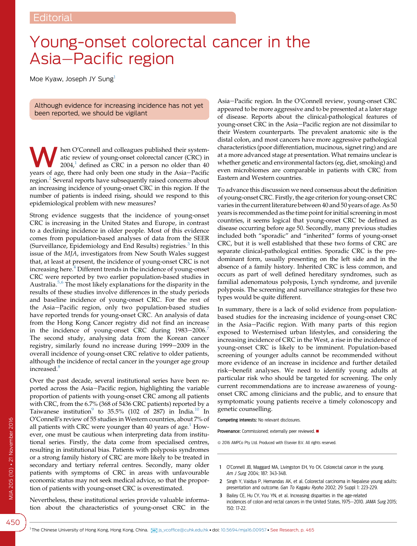## Young-onset colorectal cancer in the Asia-Pacific region

Moe Kyaw, Joseph JY Sung

Although evidence for increasing incidence has not yet been reported, we should be vigilant

hen O'Connell and colleagues published their systematic review of young-onset colorectal cancer (CRC) in  $2004<sup>1</sup>$  defined as CRC in a person no older than 40 years of age, there had only been one study in the Asia-Pacific region.<sup>2</sup> Several reports have subsequently raised concerns about an increasing incidence of young-onset CRC in this region. If the number of patients is indeed rising, should we respond to this epidemiological problem with new measures?

Strong evidence suggests that the incidence of young-onset CRC is increasing in the United States and Europe, in contrast to a declining incidence in older people. Most of this evidence comes from population-based analyses of data from the SEER (Surveillance, Epidemiology and End Results) registries. $3$  In this issue of the MJA, investigators from New South Wales suggest that, at least at present, the incidence of young-onset CRC is not increasing here.<sup>[4](#page-1-0)</sup> Different trends in the incidence of young-onset CRC were reported by two earlier population-based studies in Australia.<sup>[5,6](#page-1-0)</sup> The most likely explanations for the disparity in the results of these studies involve differences in the study periods and baseline incidence of young-onset CRC. For the rest of the Asia-Pacific region, only two population-based studies have reported trends for young-onset CRC. An analysis of data from the Hong Kong Cancer registry did not find an increase in the incidence of young-onset CRC during  $1983-2006$ .<sup>[7](#page-1-0)</sup> The second study, analysing data from the Korean cancer registry, similarly found no increase during 1999-2009 in the overall incidence of young-onset CRC relative to older patients, although the incidence of rectal cancer in the younger age group increased.<sup>[8](#page-1-0)</sup>

Over the past decade, several institutional series have been reported across the Asia-Pacific region, highlighting the variable proportion of patients with young-onset CRC among all patients with CRC, from the 6.7% (368 of 5436 CRC patients) reported by a Taiwanese institution<sup>[9](#page-1-0)</sup> to 35.5% ([10](#page-1-0)2 of 287) in India.<sup>10</sup> In O'Connell's review of 55 studies in Western countries, about 7% of all patients with CRC were younger than 40 years of age. $1$  However, one must be cautious when interpreting data from institutional series. Firstly, the data come from specialised centres, resulting in institutional bias. Patients with polyposis syndromes or a strong family history of CRC are more likely to be treated in secondary and tertiary referral centres. Secondly, many older patients with symptoms of CRC in areas with unfavourable economic status may not seek medical advice, so that the proportion of patients with young-onset CRC is overestimated.

Nevertheless, these institutional series provide valuable information about the characteristics of young-onset CRC in the

Asia-Pacific region. In the O'Connell review, young-onset CRC appeared to be more aggressive and to be presented at a later stage of disease. Reports about the clinical-pathological features of young-onset CRC in the Asia-Pacific region are not dissimilar to their Western counterparts. The prevalent anatomic site is the distal colon, and most cancers have more aggressive pathological characteristics (poor differentiation, mucinous, signet ring) and are at a more advanced stage at presentation. What remains unclear is whether genetic and environmental factors (eg, diet, smoking) and even microbiomes are comparable in patients with CRC from Eastern and Western countries.

To advance this discussion we need consensus about the definition of young-onset CRC. Firstly, the age criterion for young-onset CRC varies in the current literature between 40 and 50 years of age. As 50 years is recommended as the time point for initial screening in most countries, it seems logical that young-onset CRC be defined as disease occurring before age 50. Secondly, many previous studies included both "sporadic" and "inherited" forms of young-onset CRC, but it is well established that these two forms of CRC are separate clinical-pathological entities. Sporadic CRC is the predominant form, usually presenting on the left side and in the absence of a family history. Inherited CRC is less common, and occurs as part of well defined hereditary syndromes, such as familial adenomatous polyposis, Lynch syndrome, and juvenile polyposis. The screening and surveillance strategies for these two types would be quite different.

In summary, there is a lack of solid evidence from populationbased studies for the increasing incidence of young-onset CRC in the Asia-Pacific region. With many parts of this region exposed to Westernised urban lifestyles, and considering the increasing incidence of CRC in the West, a rise in the incidence of young-onset CRC is likely to be imminent. Population-based screening of younger adults cannot be recommended without more evidence of an increase in incidence and further detailed risk-benefit analyses. We need to identify young adults at particular risk who should be targeted for screening. The only current recommendations are to increase awareness of youngonset CRC among clinicians and the public, and to ensure that symptomatic young patients receive a timely colonoscopy and genetic counselling.

Competing interests: No relevant disclosures.

Provenance: Commissioned; externally peer reviewed.

 $@$  2016 AMPCo Pty Ltd. Produced with Elsevier B.V. All rights reserved.

- 1 <sup>O</sup>'Connell JB, Maggard MA, Livingston EH, Yo CK. Colorectal cancer in the young. Am J Surg 2004; 187: 343-348.
- 2 Singh Y, Vaidya P, Hemandas AK, et al. Colorectal carcinoma in Nepalese young adults: presentation and outcome. Gan To Kagaku Ryoho 2002; 29 Suppl 1: 223-229.
- 3 Bailey CE, Hu CY, You YN, et al. Increasing disparities in the age-related incidences of colon and rectal cancers in the United States, 1975-2010. JAMA Surg 2015; 150: 17-22.